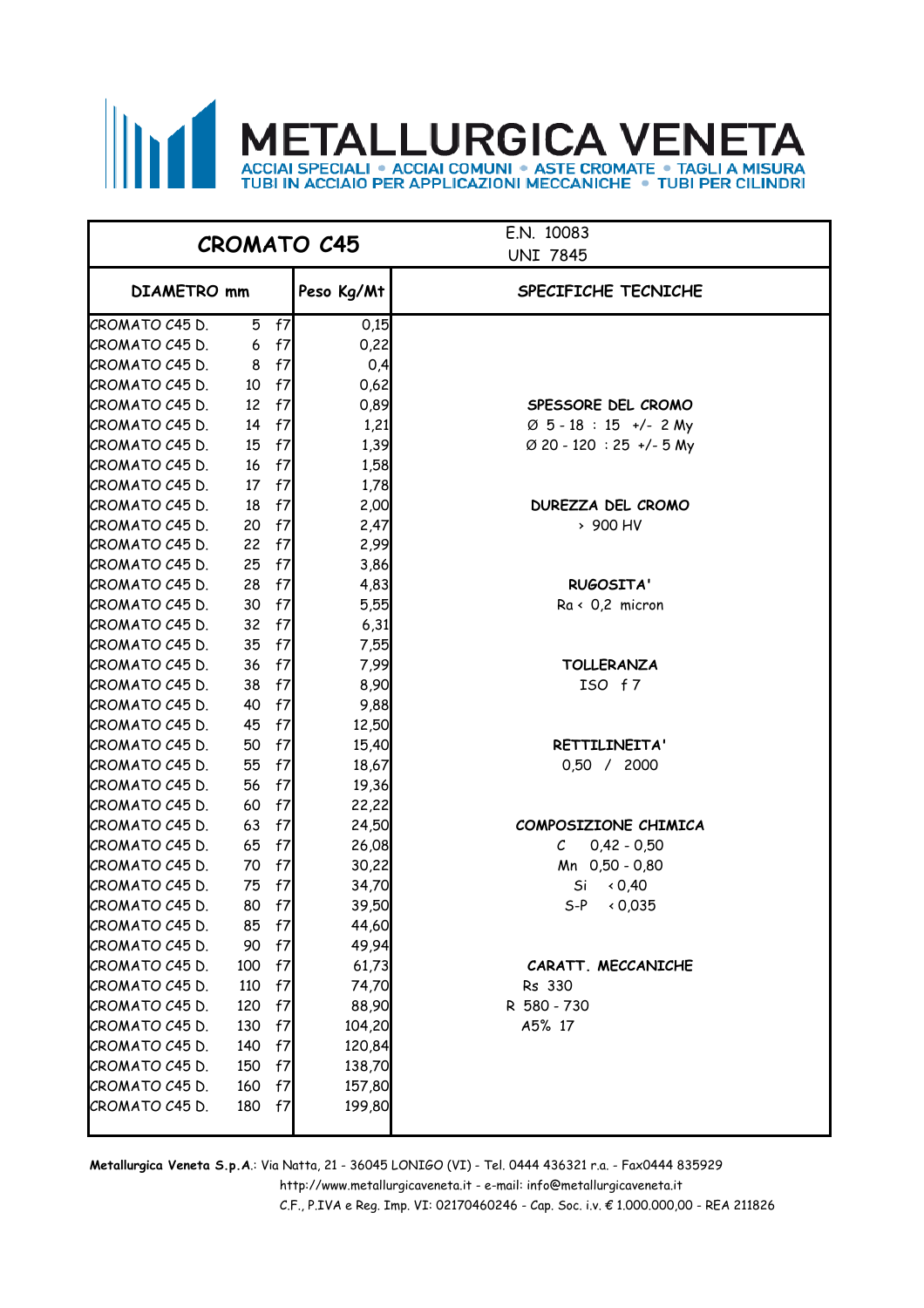# METALLURGICA VENETA

|                |     |    | <b>CROMATO C45</b> | E.N. 10083<br><b>UNI 7845</b>      |  |  |
|----------------|-----|----|--------------------|------------------------------------|--|--|
| DIAMETRO mm    |     |    | Peso Kg/Mt         | SPECIFICHE TECNICHE                |  |  |
| CROMATO C45 D. | 5   | f7 | 0,15               |                                    |  |  |
| CROMATO C45 D. | 6   | f7 | 0,22               |                                    |  |  |
| CROMATO C45 D. | 8   | f7 | 0,4                |                                    |  |  |
| CROMATO C45 D. | 10  | f7 | 0,62               |                                    |  |  |
| CROMATO C45 D. | 12  | f7 | 0,89               | SPESSORE DEL CROMO                 |  |  |
| CROMATO C45 D. | 14  | f7 | 1,21               | $\varnothing$ 5 - 18 : 15 +/- 2 My |  |  |
| CROMATO C45 D. | 15  | f7 | 1,39               | Ø 20 - 120 : 25 +/- 5 My           |  |  |
| CROMATO C45 D. | 16  | f7 | 1,58               |                                    |  |  |
| CROMATO C45 D. | 17  | f7 | 1,78               |                                    |  |  |
| CROMATO C45 D. | 18  | f7 | 2,00               | DUREZZA DEL CROMO                  |  |  |
| CROMATO C45 D. | 20  | f7 | 2,47               | > 900 HV                           |  |  |
| CROMATO C45 D. | 22  | f7 | 2,99               |                                    |  |  |
| CROMATO C45 D. | 25  | f7 | 3,86               |                                    |  |  |
| CROMATO C45 D. | 28  | f7 | 4,83               | <b>RUGOSITA'</b>                   |  |  |
| CROMATO C45 D. | 30  | f7 | 5,55               | $Ra \leftarrow 0.2$ micron         |  |  |
| CROMATO C45 D. | 32  | f7 | 6,31               |                                    |  |  |
| CROMATO C45 D. | 35  | f7 | 7,55               |                                    |  |  |
| CROMATO C45 D. | 36  | f7 | 7,99               | <b>TOLLERANZA</b>                  |  |  |
| CROMATO C45 D. | 38  | f7 | 8,90               | ISO f7                             |  |  |
| CROMATO C45 D. | 40  | f7 | 9,88               |                                    |  |  |
| CROMATO C45 D. | 45  | f7 | 12,50              |                                    |  |  |
| CROMATO C45 D. | 50  | f7 | 15,40              | RETTILINEITA'                      |  |  |
| CROMATO C45 D. | 55  | f7 | 18,67              | 0,50 / 2000                        |  |  |
| CROMATO C45 D. | 56  | f7 | 19,36              |                                    |  |  |
| CROMATO C45 D. | 60  | f7 | 22,22              |                                    |  |  |
| CROMATO C45 D. | 63  | f7 | 24,50              | COMPOSIZIONE CHIMICA               |  |  |
| CROMATO C45 D. | 65  | f7 | 26,08              | $0,42 - 0,50$<br>$\mathcal{C}^-$   |  |  |
| CROMATO C45 D. | 70  | f7 | 30,22              | Mn 0,50 - 0,80                     |  |  |
| CROMATO C45 D. | 75  | f7 | 34,70              | 0,40<br>Si                         |  |  |
| CROMATO C45 D. | 80  | f7 | 39,50              | $S-P$<br>0,035                     |  |  |
| CROMATO C45 D. | 85  | f7 | 44,60              |                                    |  |  |
| CROMATO C45 D. | 90  | f7 | 49,94              |                                    |  |  |
| CROMATO C45 D. | 100 | f7 | 61,73              | CARATT. MECCANICHE                 |  |  |
| CROMATO C45 D. | 110 | f7 | 74,70              | Rs 330                             |  |  |
| CROMATO C45 D. | 120 | f7 | 88,90              | R 580 - 730                        |  |  |
| CROMATO C45 D. | 130 | f7 | 104,20             | A5% 17                             |  |  |
| CROMATO C45 D. | 140 | f7 | 120,84             |                                    |  |  |
| CROMATO C45 D. | 150 | f7 | 138,70             |                                    |  |  |
| CROMATO C45 D. | 160 | f7 | 157,80             |                                    |  |  |
| CROMATO C45 D. | 180 | f7 | 199,80             |                                    |  |  |

 http://www.metallurgicaveneta.it - e-mail: info@metallurgicaveneta.it **Metallurgica Veneta S.p.A**.: Via Natta, 21 - 36045 LONIGO (VI) - Tel. 0444 436321 r.a. - Fax0444 835929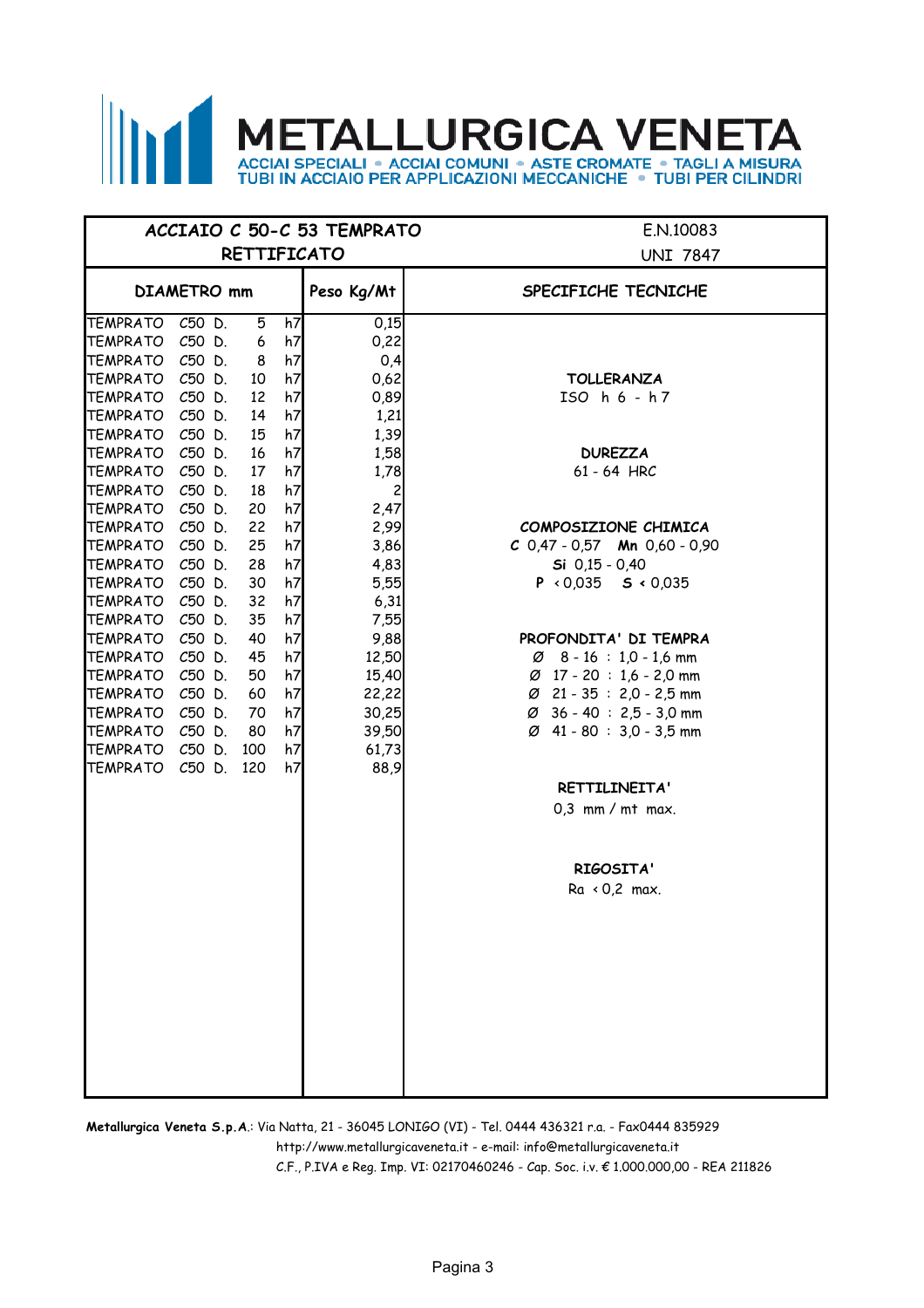# **METALLURGICA VENETA** ACCIAI SPECIALI . ACCIAI COMUNI . ASTE CROMATE . TAGLI A MISURA<br>TUBI IN ACCIAIO PER APPLICAZIONI MECCANICHE . TUBI PER CILINDRI

|                                    |            |          |          | ACCIAIO C 50-C 53 TEMPRATO | E.N.10083                                                                    |
|------------------------------------|------------|----------|----------|----------------------------|------------------------------------------------------------------------------|
|                                    |            |          |          | <b>RETTIFICATO</b>         | <b>UNI 7847</b>                                                              |
| <b>DIAMETRO</b> mm                 |            |          |          | Peso Kg/Mt                 | SPECIFICHE TECNICHE                                                          |
| TEMPRATO C50 D.                    |            | 5        | h7       | 0,15                       |                                                                              |
| TEMPRATO C50 D.                    |            | 6        | h7       | 0,22                       |                                                                              |
| TEMPRATO C50 D.<br>TEMPRATO C50 D. |            | 8        | h7<br>h7 | 0,4<br>0,62                |                                                                              |
| TEMPRATO C50 D.                    |            | 10<br>12 | h7       | 0,89                       | <b>TOLLERANZA</b><br>ISO h 6 - h 7                                           |
| TEMPRATO C50 D.                    |            | 14       | h7       | 1,21                       |                                                                              |
| TEMPRATO C50 D.                    |            | 15       | h7       | 1,39                       |                                                                              |
| TEMPRATO C50 D.                    |            | 16       | h7       | 1,58                       | <b>DUREZZA</b>                                                               |
| TEMPRATO C50 D.                    |            | 17       | h7       | 1,78                       | 61 - 64 HRC                                                                  |
| TEMPRATO C50 D.                    |            | 18       | h7       | $\overline{c}$             |                                                                              |
| TEMPRATO C50 D.                    |            | 20       | h7       | 2,47                       |                                                                              |
| TEMPRATO C50 D.<br>TEMPRATO C50 D. |            | 22<br>25 | h7<br>h7 | 2,99<br>3,86               | COMPOSIZIONE CHIMICA<br>$C$ 0,47 - 0,57 Mn 0,60 - 0,90                       |
| TEMPRATO C50 D.                    |            | 28       | h7       | 4,83                       | $Si$ 0,15 - 0,40                                                             |
| TEMPRATO C50 D.                    |            | 30       | h7       | 5,55                       | $P \times 0.035$ <b>S</b> $\times 0.035$                                     |
| TEMPRATO C50 D.                    |            | 32       | h7       | 6,31                       |                                                                              |
| TEMPRATO C50 D.                    |            | 35       | h7       | 7,55                       |                                                                              |
| TEMPRATO C50 D.                    |            | 40       | h7       | 9,88                       | PROFONDITA' DI TEMPRA                                                        |
| TEMPRATO C50 D.                    |            | 45       | h7       | 12,50                      | $\varnothing$ 8 - 16 : 1,0 - 1,6 mm                                          |
| TEMPRATO                           | C50 D.     | 50       | h7       | 15,40                      | $\varnothing$ 17 - 20 : 1,6 - 2,0 mm                                         |
| TEMPRATO<br>TEMPRATO C50 D.        | C50 D.     | 60<br>70 | h7<br>h7 | 22,22<br>30,25             | $\varnothing$ 21 - 35 : 2,0 - 2,5 mm<br>$\varnothing$ 36 - 40 : 2,5 - 3,0 mm |
| TEMPRATO C50 D.                    |            | 80       | h7       | 39,50                      | Ø 41 - 80 : 3,0 - 3,5 mm                                                     |
| TEMPRATO C50 D.                    |            | 100      | h7       | 61,73                      |                                                                              |
| <b>TEMPRATO</b>                    | C50 D. 120 |          | h7       | 88,9                       |                                                                              |
|                                    |            |          |          |                            | RETTILINEITA'                                                                |
|                                    |            |          |          |                            | $0,3$ mm / mt max.                                                           |
|                                    |            |          |          |                            |                                                                              |
|                                    |            |          |          |                            | RIGOSITA'                                                                    |
|                                    |            |          |          |                            | $Ra \times 0.2$ max.                                                         |
|                                    |            |          |          |                            |                                                                              |
|                                    |            |          |          |                            |                                                                              |
|                                    |            |          |          |                            |                                                                              |
|                                    |            |          |          |                            |                                                                              |
|                                    |            |          |          |                            |                                                                              |
|                                    |            |          |          |                            |                                                                              |
|                                    |            |          |          |                            |                                                                              |
|                                    |            |          |          |                            |                                                                              |
|                                    |            |          |          |                            |                                                                              |

http://www.metallurgicaveneta.it - e-mail: info@metallurgicaveneta.it **Metallurgica Veneta S.p.A**.: Via Natta, 21 - 36045 LONIGO (VI) - Tel. 0444 436321 r.a. - Fax0444 835929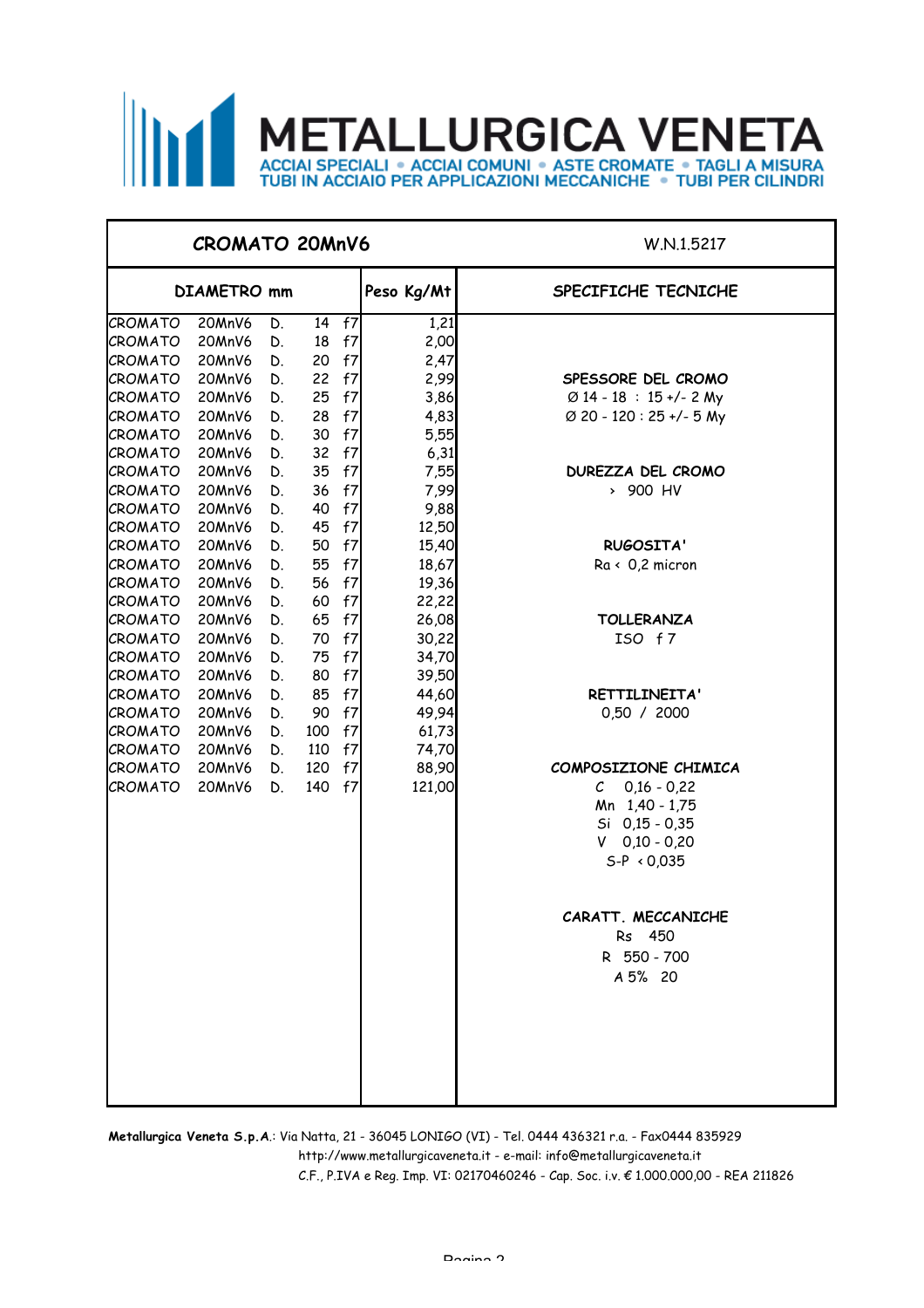

#### **CROMATO 20MnV6** W.N.1.5217

| DIAMETRO mm        |                  |          |          |          | Peso Kg/Mt     | SPECIFICHE TECNICHE                 |
|--------------------|------------------|----------|----------|----------|----------------|-------------------------------------|
| CROMATO            | 20MnV6           | D.       |          | 14 f7    | 1,21           |                                     |
| CROMATO            | 20MnV6           | D.       | 18       | f7       | 2,00           |                                     |
| CROMATO            | 20MnV6           | D.       | 20       | f7       | 2,47           |                                     |
| CROMATO            | 20MnV6           | D.       | 22       | f7       | 2,99           | SPESSORE DEL CROMO                  |
| CROMATO            | 20MnV6           | D.       | 25       | f7       | 3,86           | $\varnothing$ 14 - 18 : 15 +/- 2 My |
| CROMATO            | 20MnV6           | D.       | 28       | f7       | 4,83           | Ø 20 - 120 : 25 +/- 5 My            |
| CROMATO            | 20MnV6           | D.       | 30       | f7       | 5,55           |                                     |
| CROMATO            | 20MnV6           | D.       | 32       | f7       | 6,31           |                                     |
| CROMATO            | 20MnV6           | D.       | 35       | f7       | 7,55           | DUREZZA DEL CROMO                   |
| CROMATO            | 20MnV6           | D.       | 36       | f7       | 7,99           | > 900 HV                            |
| CROMATO            | 20MnV6           | D.       | 40       | f7       | 9,88           |                                     |
| CROMATO            | 20MnV6           | D.       | 45       | f7       | 12,50          |                                     |
| CROMATO            | 20MnV6           | D.       | 50       | f7       | 15,40          | RUGOSITA'                           |
| CROMATO            | 20MnV6           | D.       | 55       | f7       | 18,67          | $Ra \leftarrow 0.2$ micron          |
| CROMATO            | 20MnV6           | D.       | 56       | f7       | 19,36          |                                     |
| CROMATO            | 20MnV6           | D.       | 60       | f7       | 22,22          |                                     |
| CROMATO            | 20MnV6           | D.       | 65       | f7       | 26,08          | <b>TOLLERANZA</b>                   |
| CROMATO            | 20MnV6           | D.       | 70       | f7       | 30,22          | ISO f7                              |
| CROMATO            | 20MnV6           | D.       | 75       | f7       | 34,70          |                                     |
| CROMATO            | 20MnV6           | D.       | 80<br>85 | f7       | 39,50          |                                     |
| CROMATO<br>CROMATO | 20MnV6<br>20MnV6 | D.<br>D. | 90       | f7<br>f7 | 44,60          | RETTILINEITA'<br>0,50 / 2000        |
| CROMATO            | 20MnV6           | D.       | 100      | f7       | 49,94<br>61,73 |                                     |
| CROMATO            | 20MnV6           | D.       | 110      | f7       | 74,70          |                                     |
| CROMATO            | 20MnV6           | D.       | 120      | f7       | 88,90          | COMPOSIZIONE CHIMICA                |
| CROMATO            | 20MnV6           | D.       | 140      | f7       | 121,00         | $\mathcal{C}$<br>$0,16 - 0,22$      |
|                    |                  |          |          |          |                | Mn 1,40 - 1,75                      |
|                    |                  |          |          |          |                | $Si$ 0,15 - 0,35                    |
|                    |                  |          |          |          |                | $V$ 0,10 - 0,20                     |
|                    |                  |          |          |          |                | $S-P \prec 0.035$                   |
|                    |                  |          |          |          |                |                                     |
|                    |                  |          |          |          |                | CARATT. MECCANICHE                  |
|                    |                  |          |          |          |                | Rs 450                              |
|                    |                  |          |          |          |                | R 550 - 700                         |
|                    |                  |          |          |          |                | A 5% 20                             |
|                    |                  |          |          |          |                |                                     |
|                    |                  |          |          |          |                |                                     |
|                    |                  |          |          |          |                |                                     |

http://www.metallurgicaveneta.it - e-mail: info@metallurgicaveneta.it **Metallurgica Veneta S.p.A**.: Via Natta, 21 - 36045 LONIGO (VI) - Tel. 0444 436321 r.a. - Fax0444 835929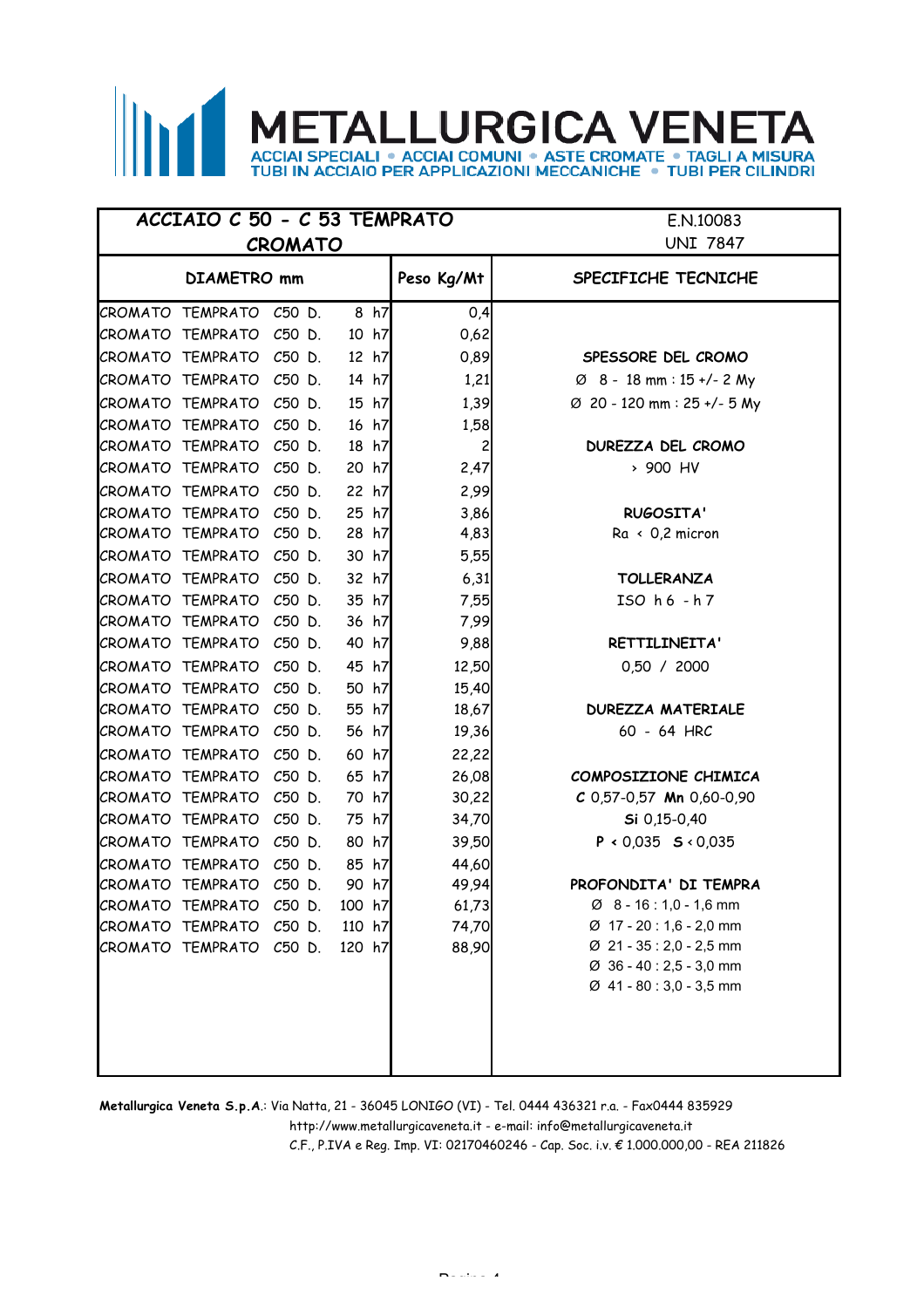### **METALLURGICA VENETA ECIALI . ACCIAI COMUNI . ASTE CROMATE . TAGLI JBI IN ACCIAIO PER APPLICAZIONI MECCANICHE . TUBI PER CILINDRI**

#### E.N.10083 UNI 7847 **DIAMETRO mm Peso Kg/Mt SPECIFICHE TECNICHE**  $CROMATO$  TEMPRATO  $C50$  D.  $8$  h7  $10,4$  $CROMATO$  TEMPRATO  $C50$  D.  $10 h7$  0.62 CROMATO TEMPRATO C50 D. 12 h7 0,89 **SPESSORE DEL CROMO**  $CROMATO$  TEMPRATO  $C50$  D.  $14$   $h7$   $1,21$  $CROMATO$  TEMPRATO  $C50$  D.  $15$  h7  $1,39$  $CROMATO$  TEMPRATO  $C50$  D.  $16$  h7  $1,58$ CROMATO TEMPRATO C50 D. 18 h7 2 **DUREZZA DEL CROMO** CROMATO TEMPRATO C50 D. 20 h7 2,47 › 900 HV  $CROMATO$  TEMPRATO  $C50$  D. 22 h7 2.99 CROMATO TEMPRATO C50 D. 25 h7 3,86 **RUGOSITA'**  $CROMATO$  TEMPRATO C50 D. 28 h7 4,83 Ra < 0,2 micron CROMATO TEMPRATO C50 D. 30 h7 5,55 CROMATO TEMPRATO C50 D. 32 h7 6,31 **TOLLERANZA** CROMATO TEMPRATO C50 D. 35 h7 7,55 ISO h 6 - h 7 CROMATO TEMPRATO C50 D. 36 h7 7,99 CROMATO TEMPRATO C50 D. 40 h7 9,88 **RETTILINEITA'** CROMATO TEMPRATO C50 D. 45 h7 12,50 0,50 / 2000  $CROMATO$  TEMPRATO  $C50$  D.  $50$  h7 15,40 CROMATO TEMPRATO C50 D. 55 h7 18,67 **DUREZZA MATERIALE** |CROMATO TEMPRATO C50 D. 56 h7 | 19,36 | 60 - 64 HRC  $C$ ROMATO TEMPRATO  $C$ 50 D. 60 h7 $\vert$  22.22 CROMATO TEMPRATO C50 D. 65 h7 26,08 **COMPOSIZIONE CHIMICA** CROMATO TEMPRATO C50 D. 70 h7 30,22 CROMATO TEMPRATO C50 D. 75 h7 34,70  $CROMATO$  TEMPRATO  $C50$  D.  $80$  h7  $39,50$  $C$ ROMATO TEMPRATO  $C$ 50 D. 85 h7 4460 CROMATO TEMPRATO C50 D. 90 h7 49,94 **PROFONDITA' DI TEMPRA** CROMATO TEMPRATO C50 D. 100 h7 61,73  $\sigma$  8 - 16:1,0 - 1,6 mm CROMATO TEMPRATO C50 D. 110 h7 74,70  $\sigma$  17 - 20 : 1,6 - 2,0 mm CROMATO TEMPRATO C50 D. 120 h7 88,90 Ø 21 - 35 : 2,0 - 2,5 mm Ø 36 - 40 : 2,5 - 3,0 mm Ø 41 - 80 : 3,0 - 3,5 mm **ACCIAIO C 50 - C 53 TEMPRATO CROMATO** Ø 8 - 18 mm : 15 +/- 2 My Ø 20 - 120 mm : 25 +/- 5 My **C** 0,57-0,57 **Mn** 0,60-0,90 **Si** 0,15-0,40 **P ‹** 0,035 **S** ‹ 0,035

http://www.metallurgicaveneta.it - e-mail: info@metallurgicaveneta.it **Metallurgica Veneta S.p.A**.: Via Natta, 21 - 36045 LONIGO (VI) - Tel. 0444 436321 r.a. - Fax0444 835929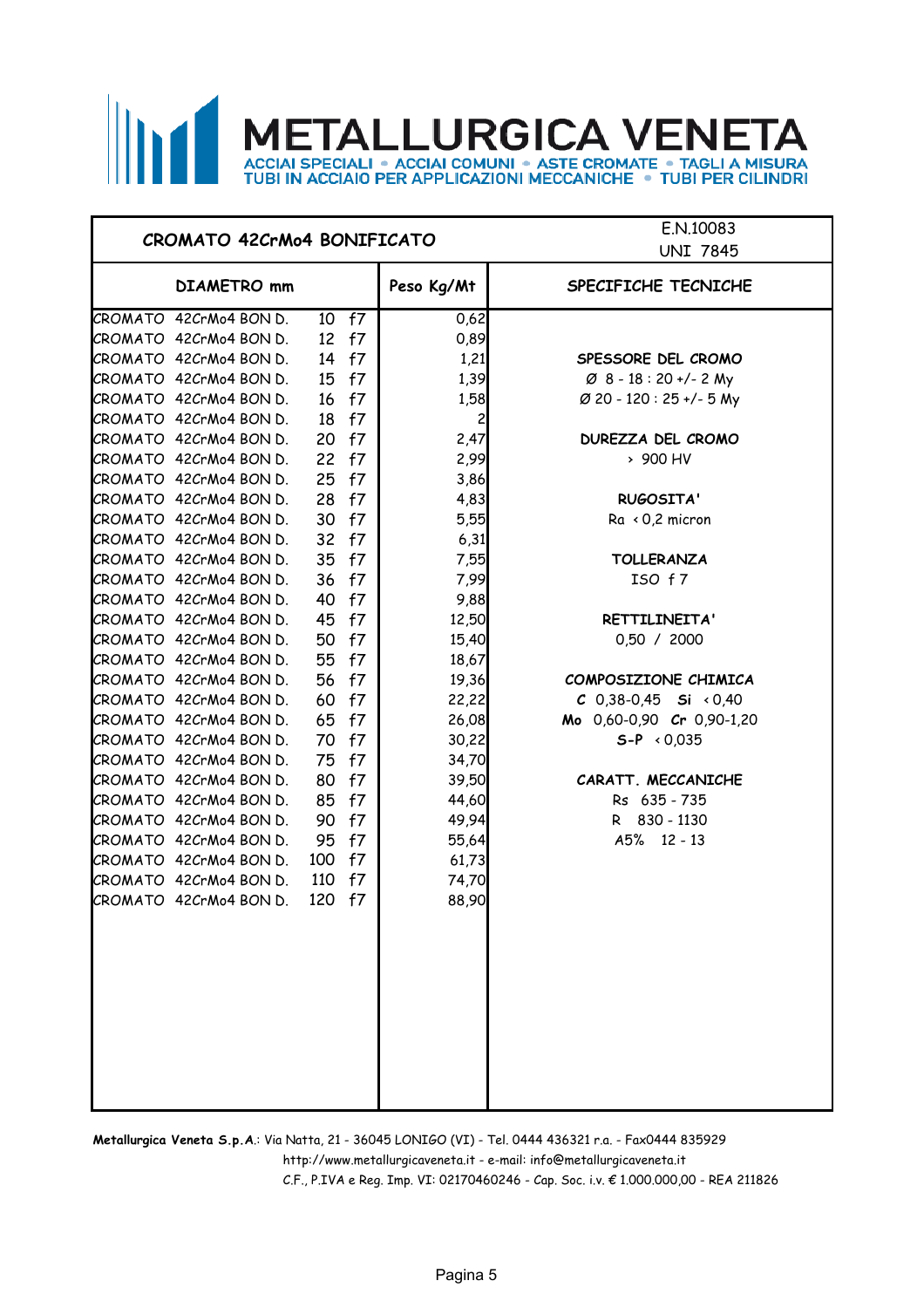# **METALLURGICA VENETA** ACCIAI SPECIALI • ACCIAI COMUNI • ASTE CROMATE • TAGLI A MISURA<br>TUBI IN ACCIAIO PER APPLICAZIONI MECCANICHE • TUBI PER CILINDRI

### **CROMATO 42CrMo4 BONIFICATO**

E.N.10083 **UNIT 7845** 

| DIAMETRO mm            |     |       | Peso Kg/Mt | SPECIFICHE TECNICHE                |
|------------------------|-----|-------|------------|------------------------------------|
| CROMATO 42CrMo4 BON D. |     | 10 f7 | 0,62       |                                    |
| CROMATO 42CrMo4 BON D. | 12  | f7    | 0,89       |                                    |
| CROMATO 42CrMo4 BON D. | 14  | f7    | 1,21       | SPESSORE DEL CROMO                 |
| CROMATO 42CrMo4 BON D. | 15  | f7    | 1,39       | $\varnothing$ 8 - 18 : 20 +/- 2 My |
| CROMATO 42CrMo4 BON D. | 16  | f7    | 1,58       | Ø 20 - 120 : 25 +/- 5 My           |
| CROMATO 42CrMo4 BON D. | 18  | f7    | 2          |                                    |
| CROMATO 42CrMo4 BON D. | 20  | f7    | 2,47       | DUREZZA DEL CROMO                  |
| CROMATO 42CrMo4 BON D. | 22  | f7    | 2,99       | > 900 HV                           |
| CROMATO 42CrMo4 BON D. | 25  | f7    | 3,86       |                                    |
| CROMATO 42CrMo4 BON D. | 28  | f7    | 4,83       | RUGOSITA'                          |
| CROMATO 42CrMo4 BON D. | 30  | f7    | 5,55       | $Ra \times 0.2$ micron             |
| CROMATO 42CrMo4 BON D. | 32  | f7    | 6,31       |                                    |
| CROMATO 42CrMo4 BON D. | 35  | f7    | 7,55       | <b>TOLLERANZA</b>                  |
| CROMATO 42CrMo4 BON D. | 36  | f7    | 7,99       | ISO f7                             |
| CROMATO 42CrMo4 BON D. | 40  | f7    | 9,88       |                                    |
| CROMATO 42CrMo4 BON D. | 45  | f7    | 12,50      | RETTILINEITA'                      |
| CROMATO 42CrMo4 BON D. | 50  | f7    | 15,40      | 0,50 / 2000                        |
| CROMATO 42CrMo4 BON D. | 55  | f7    | 18,67      |                                    |
| CROMATO 42CrMo4 BON D. | 56  | f7    | 19,36      | COMPOSIZIONE CHIMICA               |
| CROMATO 42CrMo4 BON D. | 60  | f7    | 22,22      | C 0,38-0,45 Si $\times$ 0,40       |
| CROMATO 42CrMo4 BON D. | 65  | f7    | 26,08      | Mo 0,60-0,90 Cr 0,90-1,20          |
| CROMATO 42CrMo4 BON D. | 70  | f7    | 30,22      | $S-P \times 0.035$                 |
| CROMATO 42CrMo4 BON D. | 75  | f7    | 34,70      |                                    |
| CROMATO 42CrMo4 BON D. | 80  | f7    | 39,50      | CARATT. MECCANICHE                 |
| CROMATO 42CrMo4 BON D. | 85  | f7    | 44,60      | Rs 635 - 735                       |
| CROMATO 42CrMo4 BON D. | 90  | f7    | 49,94      | R 830 - 1130                       |
| CROMATO 42CrMo4 BON D. | 95  | f7    | 55,64      | A5% 12 - 13                        |
| CROMATO 42CrMo4 BON D. | 100 | f7    | 61,73      |                                    |
| CROMATO 42CrMo4 BON D. | 110 | f7    | 74,70      |                                    |
| CROMATO 42CrMo4 BON D. | 120 | f7    | 88,90      |                                    |
|                        |     |       |            |                                    |
|                        |     |       |            |                                    |
|                        |     |       |            |                                    |
|                        |     |       |            |                                    |
|                        |     |       |            |                                    |
|                        |     |       |            |                                    |

**Metallurgica Veneta S.p.A**.: Via Natta, 21 - 36045 LONIGO (VI) - Tel. 0444 436321 r.a. - Fax0444 835929

http://www.metallurgicaveneta.it - e-mail: info@metallurgicaveneta.it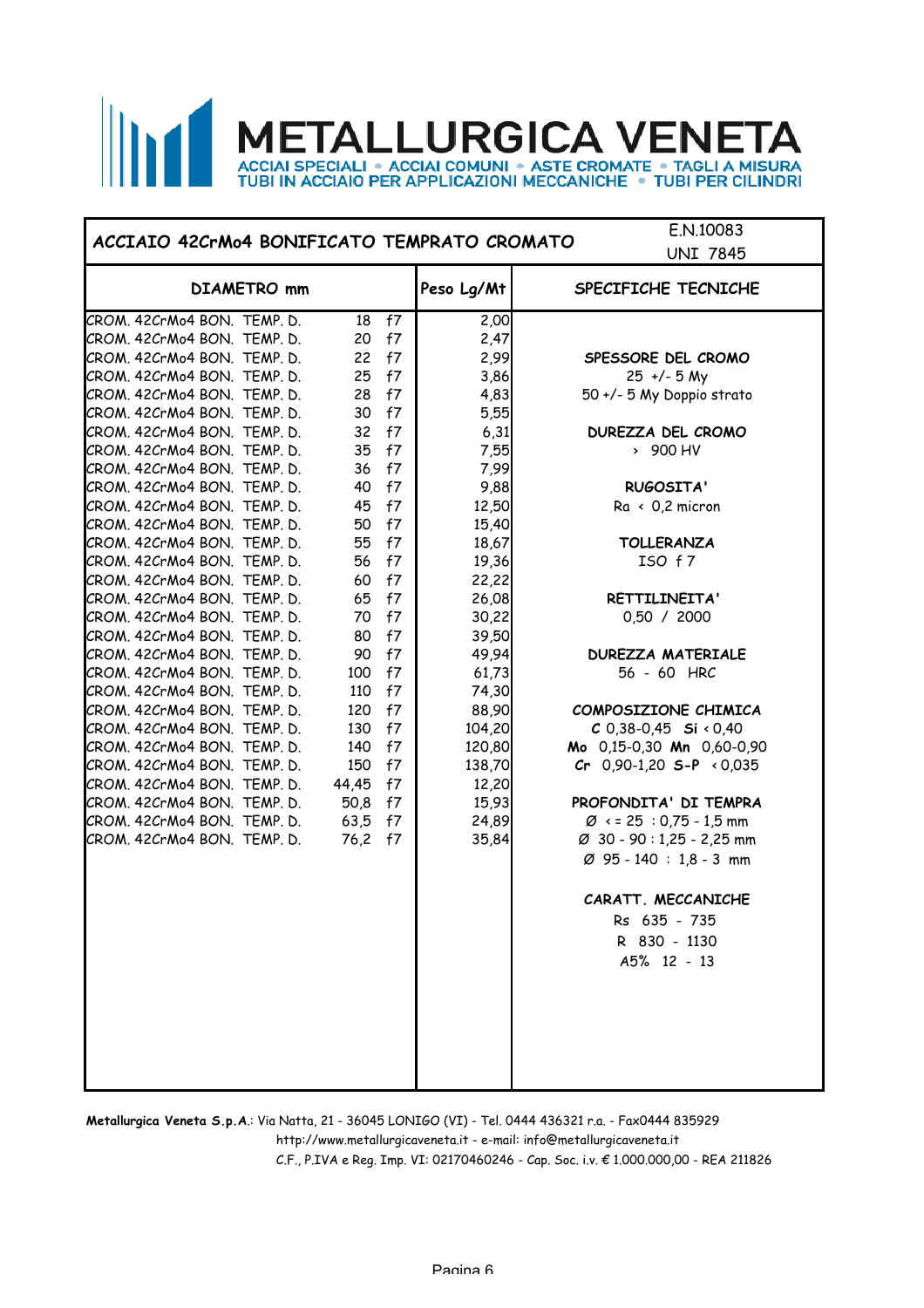### **METALLURGICA VENET** ГΔ ACCIAI SPECIALI . ACCIAI COMUNI . ASTE CROMATE . TAGLI A MISURA<br>TUBI IN ACCIAIO PER APPLICAZIONI MECCANICHE . TUBI PER CILINDRI

### **ACCIAIO 42CrMo4 BONIFICATO TEMPRATO CROMATO**

E.N.10083 UNIT 7845

|                             |             |          |    |            | ט <del>ו</del> ס ו באוס              |
|-----------------------------|-------------|----------|----|------------|--------------------------------------|
|                             | DIAMETRO mm |          |    | Peso Lg/Mt | SPECIFICHE TECNICHE                  |
| CROM. 42CrMo4 BON. TEMP. D. |             | 18       | f7 | 2,00       |                                      |
| CROM. 42CrMo4 BON. TEMP. D. |             | 20       | f7 | 2,47       |                                      |
| CROM. 42CrMo4 BON. TEMP. D. |             | 22       | f7 | 2,99       | SPESSORE DEL CROMO                   |
| CROM. 42CrMo4 BON. TEMP. D. |             | 25       | f7 | 3,86       | $25 +/- 5 My$                        |
| CROM. 42CrMo4 BON. TEMP. D. |             | 28       | f7 | 4,83       | 50 +/- 5 My Doppio strato            |
| CROM. 42CrMo4 BON. TEMP. D. |             | 30       | f7 | 5,55       |                                      |
| CROM. 42CrMo4 BON. TEMP. D. |             | 32       | f7 | 6,31       | DUREZZA DEL CROMO                    |
| CROM. 42CrMo4 BON. TEMP. D. |             | 35       | f7 | 7,55       | > 900 HV                             |
| CROM. 42CrMo4 BON. TEMP. D. |             | 36       | f7 | 7,99       |                                      |
| CROM. 42CrMo4 BON. TEMP. D. |             | 40       | f7 | 9,88       | RUGOSITA'                            |
| CROM. 42CrMo4 BON. TEMP. D. |             | 45       | f7 | 12,50      | $Ra \times 0.2$ micron               |
| CROM. 42CrMo4 BON. TEMP. D. |             | 50       | f7 | 15,40      |                                      |
| CROM. 42CrMo4 BON. TEMP. D. |             | 55       | f7 | 18,67      | <b>TOLLERANZA</b>                    |
| CROM. 42CrMo4 BON. TEMP. D. |             | 56       | f7 | 19,36      | ISO f7                               |
| CROM. 42CrMo4 BON. TEMP. D. |             | 60       | f7 | 22,22      |                                      |
| CROM. 42CrMo4 BON. TEMP. D. |             | 65       | f7 | 26,08      | RETTILINEITA'                        |
| CROM. 42CrMo4 BON. TEMP. D. |             | 70       | f7 | 30,22      | 0,50 / 2000                          |
| CROM. 42CrMo4 BON. TEMP. D. |             | 80       | f7 | 39,50      |                                      |
| CROM. 42CrMo4 BON. TEMP. D. |             | 90       | f7 | 49,94      | <b>DUREZZA MATERIALE</b>             |
| CROM. 42CrMo4 BON. TEMP. D. |             | 100      | f7 | 61,73      | 56 - 60 HRC                          |
| CROM. 42CrMo4 BON. TEMP. D. |             | 110      | f7 | 74,30      |                                      |
| CROM. 42CrMo4 BON. TEMP. D. |             | 120      | f7 | 88,90      | COMPOSIZIONE CHIMICA                 |
| CROM. 42CrMo4 BON. TEMP. D. |             | 130      | f7 | 104,20     | $C$ 0,38-0,45 Si < 0,40              |
| CROM. 42CrMo4 BON. TEMP. D. |             | 140      | f7 | 120,80     | Mo 0,15-0,30 Mn 0,60-0,90            |
| CROM. 42CrMo4 BON. TEMP. D. |             | 150 f7   |    | 138,70     | Cr $0,90-1,20$ S-P $\le 0,035$       |
| CROM. 42CrMo4 BON. TEMP. D. |             | 44,45 f7 |    | 12,20      |                                      |
| CROM. 42CrMo4 BON. TEMP. D. |             | 50,8 f7  |    | 15,93      | PROFONDITA' DI TEMPRA                |
| CROM. 42CrMo4 BON. TEMP. D. |             | 63,5 f7  |    | 24,89      | $\varnothing$ < = 25 : 0,75 - 1,5 mm |
| CROM. 42CrMo4 BON. TEMP. D. |             | 76,2 f7  |    | 35,84      | Ø 30 - 90 : 1,25 - 2,25 mm           |
|                             |             |          |    |            | $\varnothing$ 95 - 140 : 1,8 - 3 mm  |
|                             |             |          |    |            | CARATT. MECCANICHE                   |
|                             |             |          |    |            | Rs 635 - 735                         |
|                             |             |          |    |            | R 830 - 1130                         |
|                             |             |          |    |            | A5% 12 - 13                          |
|                             |             |          |    |            |                                      |
|                             |             |          |    |            |                                      |
|                             |             |          |    |            |                                      |
|                             |             |          |    |            |                                      |

**Metallurgica Veneta S.p.A**.: Via Natta, 21 - 36045 LONIGO (VI) - Tel. 0444 436321 r.a. - Fax0444 835929

http://www.metallurgicaveneta.it - e-mail: info@metallurgicaveneta.it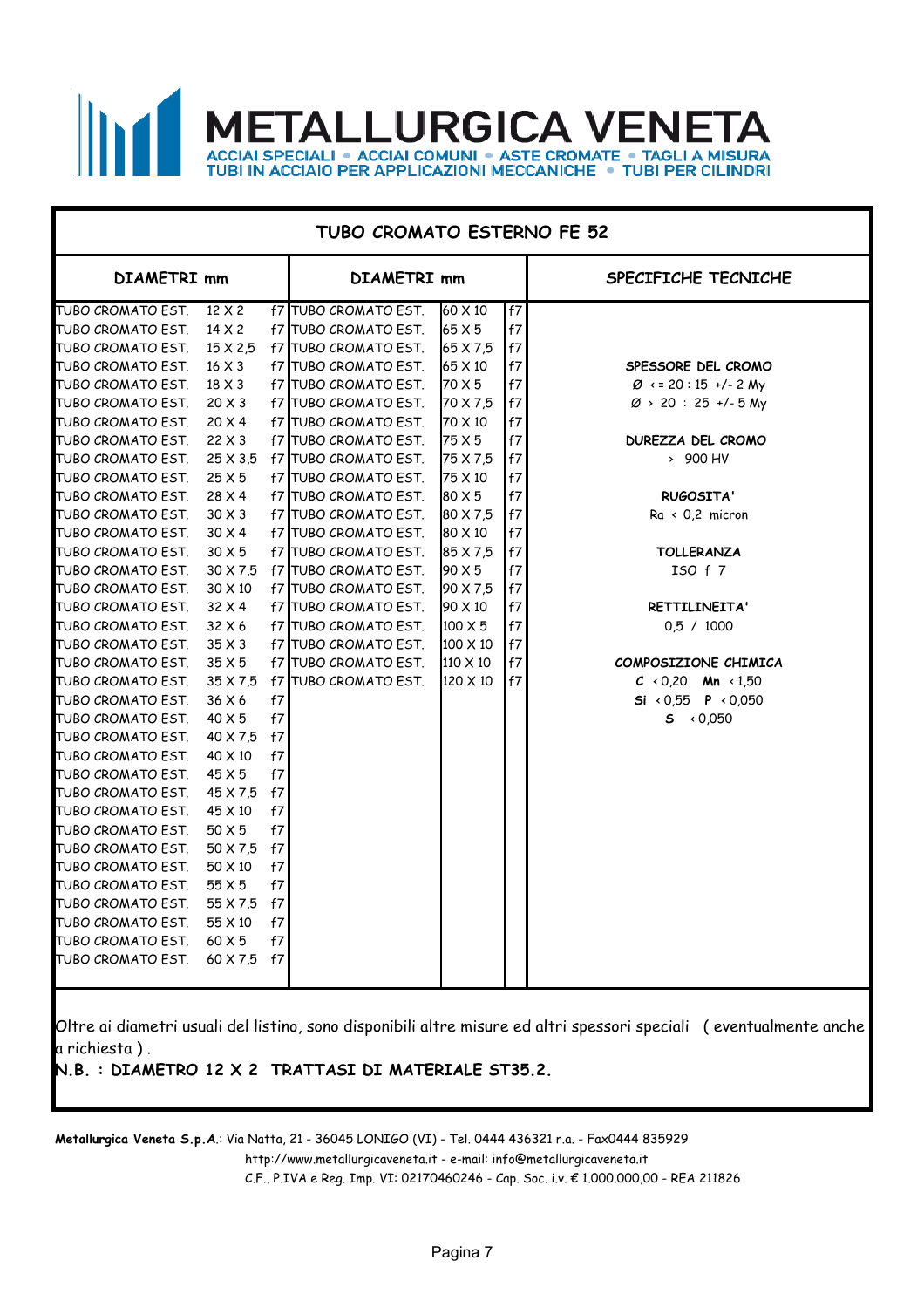### **ALLURGICA VEN**  $\mathsf{N}$ ACCIAI SPECIALI • ACCIAI COMUNI • ASTE CROMATE • TAGLI A MISURA<br>TUBI IN ACCIAIO PER APPLICAZIONI MECCANICHE • TUBI PER CILINDRI

| <b>TUBO CROMATO ESTERNO FE 52</b> |                 |    |                              |                |                            |                                    |  |
|-----------------------------------|-----------------|----|------------------------------|----------------|----------------------------|------------------------------------|--|
| <b>DIAMETRI mm</b>                |                 |    | <b>DIAMETRI mm</b>           |                |                            | SPECIFICHE TECNICHE                |  |
| TUBO CROMATO EST.                 | $12 \times 2$   |    | <b>f7 TUBO CROMATO EST.</b>  | 60 X 10        | f7                         |                                    |  |
| TUBO CROMATO EST.                 | $14 \times 2$   |    | <b>f7 ITUBO CROMATO EST.</b> | 65 X 5         | f7                         |                                    |  |
| TUBO CROMATO EST.                 | $15 \times 2.5$ |    | f7 TUBO CROMATO EST.         | 65 X 7,5       | f7                         |                                    |  |
| TUBO CROMATO EST.                 | $16 \times 3$   |    | <b>f7 TUBO CROMATO EST.</b>  | $65 \times 10$ | f7                         | SPESSORE DEL CROMO                 |  |
| TUBO CROMATO EST.                 | $18 \times 3$   |    | f7 TUBO CROMATO EST.         | 70 X 5         | f7                         | $\varnothing$ < = 20 : 15 +/- 2 My |  |
| TUBO CROMATO EST.                 | $20 \times 3$   |    | <b>f7 TUBO CROMATO EST.</b>  | 70 X 7.5       | f7                         | $\varnothing$ > 20 : 25 +/- 5 My   |  |
| TUBO CROMATO EST.                 | $20 \times 4$   |    | <b>f7 TUBO CROMATO EST.</b>  | 70 X 10        | f7                         |                                    |  |
| TUBO CROMATO EST.                 | $22 \times 3$   |    | f7 TUBO CROMATO EST.         | 75 X 5         | $\ensuremath{\mathsf{f7}}$ | DUREZZA DEL CROMO                  |  |
| TUBO CROMATO EST.                 | $25 \times 3.5$ |    | f7 TUBO CROMATO EST.         | 75 X 7,5       | f7                         | > 900 HV                           |  |
| TUBO CROMATO EST.                 | 25X5            |    | f7 ITUBO CROMATO EST.        | 175 X 10       | f7                         |                                    |  |
| TUBO CROMATO EST.                 | $28 \times 4$   |    | f7 TUBO CROMATO EST.         | 80 X 5         | f7                         | <b>RUGOSITA'</b>                   |  |
| TUBO CROMATO EST.                 | $30 \times 3$   |    | <b>f7 TUBO CROMATO EST.</b>  | 80 X 7,5       | f7                         | $Ra \leftarrow 0.2$ micron         |  |
| TUBO CROMATO EST.                 | $30 \times 4$   |    | <b>f7 ITUBO CROMATO EST.</b> | 80 X 10        | $\ensuremath{\mathsf{f7}}$ |                                    |  |
| TUBO CROMATO EST.                 | $30 \times 5$   |    | <b>f7 TUBO CROMATO EST.</b>  | 85 X 7,5       | f7                         | <b>TOLLERANZA</b>                  |  |
| TUBO CROMATO EST.                 | 30 X 7,5        |    | <b>f7 TUBO CROMATO EST.</b>  | 190 X 5        | f7                         | ISO f 7                            |  |
| TUBO CROMATO EST.                 | $30 \times 10$  |    | f7 TUBO CROMATO EST.         | 190 X 7,5      | $\ensuremath{\mathsf{f7}}$ |                                    |  |
| TUBO CROMATO EST.                 | 32 X 4          |    | f7 TUBO CROMATO EST.         | 90 X 10        | f7                         | RETTILINEITA'                      |  |
| TUBO CROMATO EST.                 | 32 X 6          |    | <b>f7 TUBO CROMATO EST.</b>  | $100 \times 5$ | $\sf f7$                   | 0.5 / 1000                         |  |
| TUBO CROMATO EST.                 | $35 \times 3$   |    | <b>f7 TUBO CROMATO EST.</b>  | 100 X 10       | f7                         |                                    |  |
| TUBO CROMATO EST.                 | $35\times 5$    |    | <b>f7 TUBO CROMATO EST.</b>  | 110 X 10       | f7                         | COMPOSIZIONE CHIMICA               |  |
| TUBO CROMATO EST.                 | 35 X 7.5        |    | <b>f7 TUBO CROMATO EST.</b>  | 120 X 10       | f7l                        | $C \times 0.20$ Mn $\times 1.50$   |  |
| TUBO CROMATO EST.                 | 36 X 6          | f7 |                              |                |                            | Si < 0,55 <b>P</b> < 0,050         |  |
| TUBO CROMATO EST.                 | $40 \times 5$   | f7 |                              |                |                            | $5 \times 0,050$                   |  |
| TUBO CROMATO EST.                 | 40 X 7,5        | f7 |                              |                |                            |                                    |  |
| TUBO CROMATO EST.                 | 40 X 10         | f7 |                              |                |                            |                                    |  |
| TUBO CROMATO EST.                 | 45 X 5          | f7 |                              |                |                            |                                    |  |
| TUBO CROMATO EST.                 | 45 X 7,5        | f7 |                              |                |                            |                                    |  |
| TUBO CROMATO EST.                 | 45 X 10         | f7 |                              |                |                            |                                    |  |
| TUBO CROMATO EST.                 | 50 X 5          | f7 |                              |                |                            |                                    |  |
| TUBO CROMATO EST.                 | 50 X 7,5        | f7 |                              |                |                            |                                    |  |
| TUBO CROMATO EST.                 | 50 X 10         | f7 |                              |                |                            |                                    |  |
| TUBO CROMATO EST.                 | 55 X 5          | f7 |                              |                |                            |                                    |  |
| TUBO CROMATO EST.                 | 55 X 7,5        | f7 |                              |                |                            |                                    |  |
| TUBO CROMATO EST.                 | 55 X 10         | f7 |                              |                |                            |                                    |  |
| TUBO CROMATO EST.                 | 60 X 5          | f7 |                              |                |                            |                                    |  |
| TUBO CROMATO EST.                 | 60 X 7,5        | f7 |                              |                |                            |                                    |  |
|                                   |                 |    |                              |                |                            |                                    |  |

Oltre ai diametri usuali del listino, sono disponibili altre misure ed altri spessori speciali ( eventualmente anche a richiesta ) .

**N.B. : DIAMETRO 12 X 2 TRATTASI DI MATERIALE ST35.2.**

**Metallurgica Veneta S.p.A**.: Via Natta, 21 - 36045 LONIGO (VI) - Tel. 0444 436321 r.a. - Fax0444 835929

http://www.metallurgicaveneta.it - e-mail: info@metallurgicaveneta.it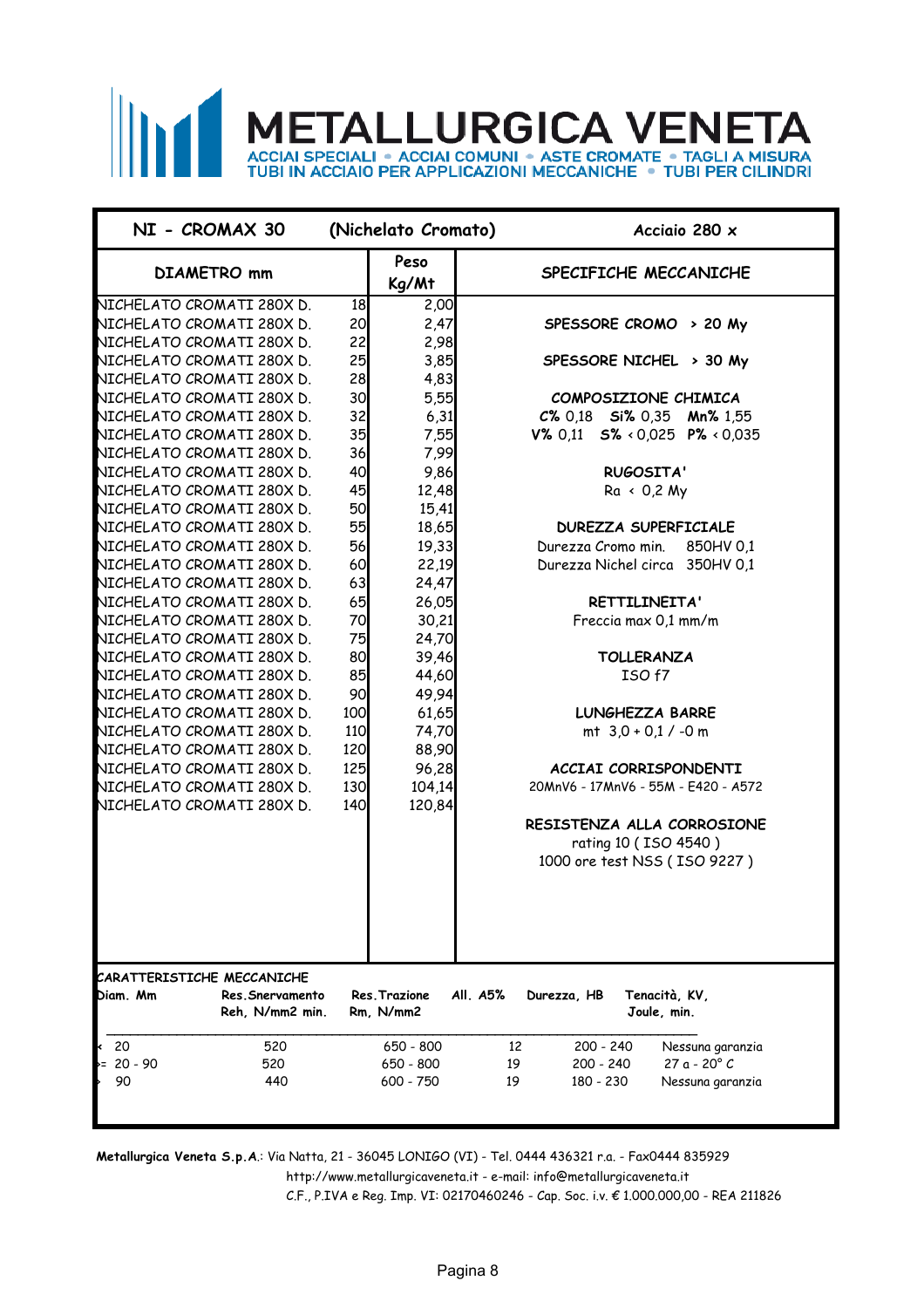# **METALLURGICA VENETA** ACCIAI SPECIALI • ACCIAI COMUNI • ASTE CROMATE • TAGLI A MISURA<br>TUBI IN ACCIAIO PER APPLICAZIONI MECCANICHE • TUBI PER CILINDRI

| NI - CROMAX 30                                 |            | (Nichelato Cromato)        | Acciaio 280 $\times$                                    |
|------------------------------------------------|------------|----------------------------|---------------------------------------------------------|
| <b>DIAMETRO</b> mm                             |            | Peso<br>Kg/Mt              | SPECIFICHE MECCANICHE                                   |
| NICHELATO CROMATI 280X D.                      | 18         | 2,00                       |                                                         |
| NICHELATO CROMATI 280X D.                      | 20         | 2,47                       | SPESSORE CROMO > 20 My                                  |
| NICHELATO CROMATI 280X D.                      | 22         | 2,98                       |                                                         |
| NICHELATO CROMATI 280X D.                      | 25         | 3,85                       | SPESSORE NICHEL > 30 My                                 |
| NICHELATO CROMATI 280X D.                      | 28         | 4,83                       |                                                         |
| NICHELATO CROMATI 280X D.                      | 30         | 5,55                       | COMPOSIZIONE CHIMICA                                    |
| NICHELATO CROMATI 280X D.                      | 32         | 6,31                       | $C\%$ 0,18 Si% 0,35 Mn% 1,55                            |
| NICHELATO CROMATI 280X D.                      | 35         | 7,55                       | V% 0.11 $S\% \times 0.025$ P% $\times 0.035$            |
| NICHELATO CROMATI 280X D.                      | 36         | 7,99                       |                                                         |
| NICHELATO CROMATI 280X D.                      | 40         | 9,86                       | <b>RUGOSITA'</b>                                        |
| NICHELATO CROMATI 280X D.                      | 45         | 12,48                      | $Ra \times 0.2 My$                                      |
| NICHELATO CROMATI 280X D.                      | 50         | 15,41                      |                                                         |
| NICHELATO CROMATI 280X D.                      | 55         | 18,65                      | <b>DUREZZA SUPERFICIALE</b>                             |
| NICHELATO CROMATI 280X D.                      | 56         | 19,33                      | Durezza Cromo min.<br>850HV 0.1                         |
| NICHELATO CROMATI 280X D.                      | 60         | 22,19                      | Durezza Nichel circa 350HV 0,1                          |
| NICHELATO CROMATI 280X D.                      | 63         | 24,47                      |                                                         |
| NICHELATO CROMATI 280X D.                      | 65         | 26,05                      | RETTILINEITA'                                           |
| NICHELATO CROMATI 280X D.                      | 70         | 30,21                      | Freccia max 0,1 mm/m                                    |
| NICHELATO CROMATI 280X D.                      | 75         | 24,70                      |                                                         |
| NICHELATO CROMATI 280X D.                      | 80         | 39,46                      | <b>TOLLERANZA</b>                                       |
| NICHELATO CROMATI 280X D.                      | 85         | 44,60                      | ISO f7                                                  |
| NICHELATO CROMATI 280X D.                      | 90         | 49,94                      |                                                         |
| NICHELATO CROMATI 280X D.                      | 100        | 61,65                      | LUNGHEZZA BARRE                                         |
| NICHELATO CROMATI 280X D.                      | <b>110</b> | 74,70                      | mt $3.0 + 0.1 / -0$ m                                   |
| NICHELATO CROMATI 280X D.                      | 120        | 88,90                      |                                                         |
| NICHELATO CROMATI 280X D.                      | 125        | 96,28                      | ACCIAI CORRISPONDENTI                                   |
| NICHELATO CROMATI 280X D.                      | 130        | 104,14                     | 20MnV6 - 17MnV6 - 55M - E420 - A572                     |
| NICHELATO CROMATI 280X D.                      | 140        | 120,84                     |                                                         |
|                                                |            |                            | RESISTENZA ALLA CORROSIONE                              |
|                                                |            |                            | rating 10 (ISO 4540)                                    |
|                                                |            |                            | 1000 ore test NSS (ISO 9227)                            |
|                                                |            |                            |                                                         |
|                                                |            |                            |                                                         |
|                                                |            |                            |                                                         |
|                                                |            |                            |                                                         |
|                                                |            |                            |                                                         |
| CARATTERISTICHE MECCANICHE                     |            |                            |                                                         |
| Diam. Mm<br>Res.Snervamento<br>Reh, N/mm2 min. |            | Res. Trazione<br>Rm, N/mm2 | All. A5%<br>Tenacità, KV,<br>Durezza, HB<br>Joule, min. |
|                                                |            |                            |                                                         |
| - 20<br>520<br>≺                               |            | 650 - 800                  | 200 - 240<br>12<br>Nessuna garanzia                     |
| $= 20 - 90$<br>520                             |            | 650 - 800                  | 27 a - 20° C<br>19<br>200 - 240                         |
| 90<br>440                                      |            | 600 - 750                  | 19<br>180 - 230<br>Nessuna garanzia                     |
|                                                |            |                            |                                                         |

**Metallurgica Veneta S.p.A**.: Via Natta, 21 - 36045 LONIGO (VI) - Tel. 0444 436321 r.a. - Fax0444 835929

http://www.metallurgicaveneta.it - e-mail: info@metallurgicaveneta.it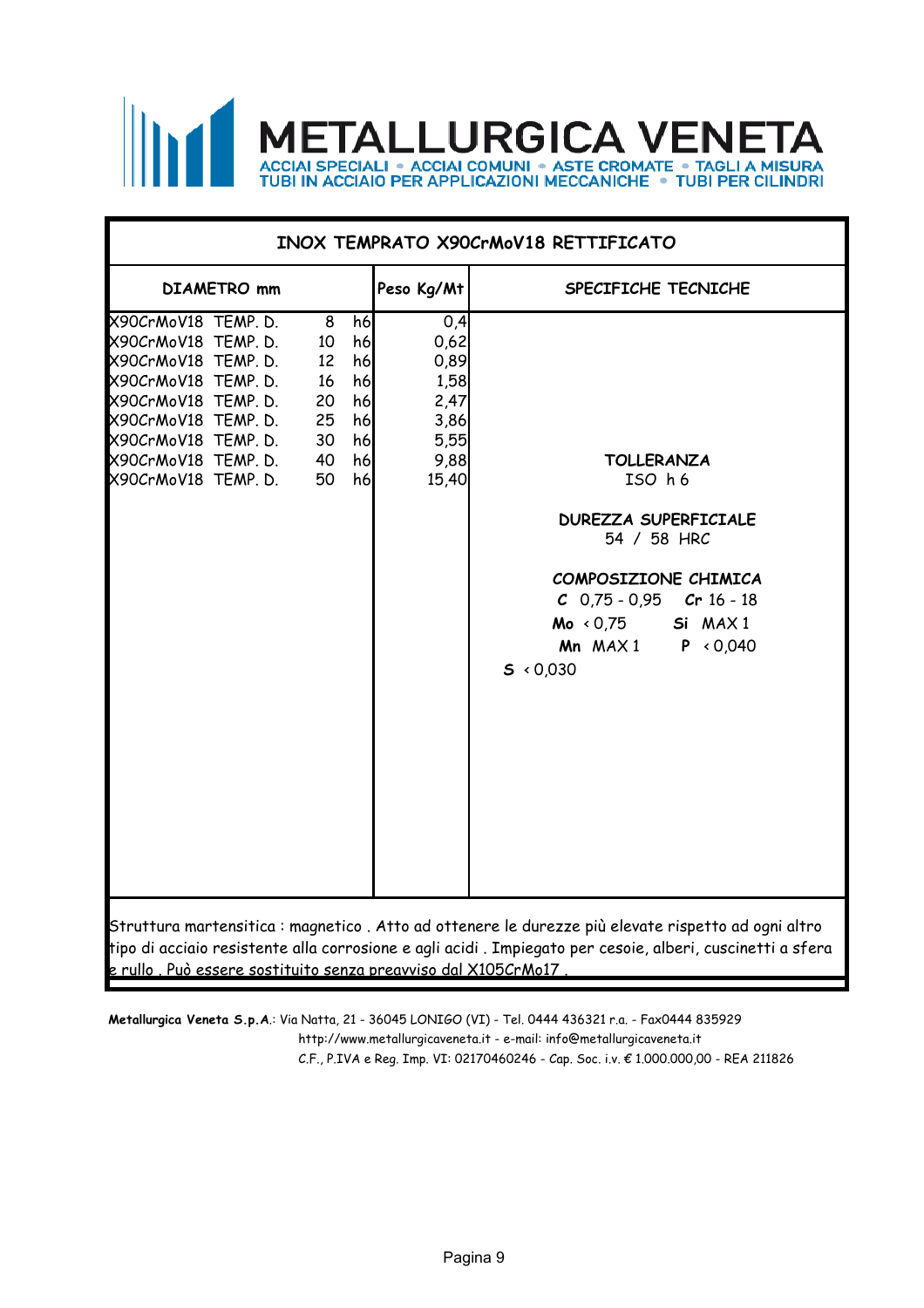

| Peso Kg/Mt<br><b>DIAMETRO</b> mm<br>SPECIFICHE TECNICHE<br>X90CrMoV18 TEMP. D.<br>h6<br>0,4<br>8<br>0,62<br>X90CrMoV18 TEMP. D.<br>h6<br>10<br>X90CrMoV18 TEMP. D.<br>12<br>h6<br>0,89<br>X90CrMoV18 TEMP. D.<br>h6<br>16<br>1,58<br>X90CrMoV18 TEMP. D.<br>20<br>h6<br>2,47<br>X90CrMoV18 TEMP. D.<br>25<br>h6<br>3,86<br>X90CrMoV18 TEMP. D.<br>30<br>h6<br>5,55<br>X90CrMoV18 TEMP. D.<br>40<br>h6<br>9,88<br><b>TOLLERANZA</b><br>X90CrMoV18 TEMP. D.<br>50<br>h6<br>15,40<br>ISO h6<br><b>DUREZZA SUPERFICIALE</b><br>54 / 58 HRC<br>COMPOSIZIONE CHIMICA<br>$C$ 0,75 - 0,95<br>Cr 16 - 18<br>$Mo \leftarrow O.75$<br>Si MAX1<br>Mn $MAX1$ P < 0,040<br>$5 \times 0.030$ | INOX TEMPRATO X90CrMoV18 RETTIFICATO |  |  |  |  |  |  |  |
|-------------------------------------------------------------------------------------------------------------------------------------------------------------------------------------------------------------------------------------------------------------------------------------------------------------------------------------------------------------------------------------------------------------------------------------------------------------------------------------------------------------------------------------------------------------------------------------------------------------------------------------------------------------------------------|--------------------------------------|--|--|--|--|--|--|--|
|                                                                                                                                                                                                                                                                                                                                                                                                                                                                                                                                                                                                                                                                               |                                      |  |  |  |  |  |  |  |
|                                                                                                                                                                                                                                                                                                                                                                                                                                                                                                                                                                                                                                                                               |                                      |  |  |  |  |  |  |  |

e rullo . Può essere sostituito senza preavviso dal X105CrMo17 .

http://www.metallurgicaveneta.it - e-mail: info@metallurgicaveneta.it **Metallurgica Veneta S.p.A**.: Via Natta, 21 - 36045 LONIGO (VI) - Tel. 0444 436321 r.a. - Fax0444 835929